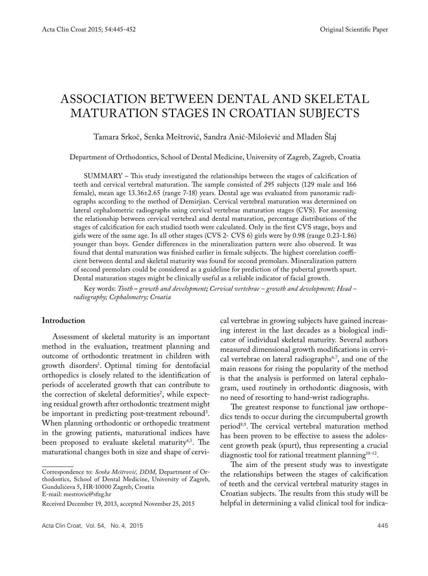# Association between dental and skeletal maturation stages in Croatian subjects

Tamara Srkoč, Senka Meštrović, Sandra Anić-Milošević and Mladen Šlaj

Department of Orthodontics, School of Dental Medicine, University of Zagreb, Zagreb, Croatia

SUMMARY – This study investigated the relationships between the stages of calcification of teeth and cervical vertebral maturation. The sample consisted of 295 subjects (129 male and 166 female), mean age 13.36±2.65 (range 7-18) years. Dental age was evaluated from panoramic radiographs according to the method of Demirjian. Cervical vertebral maturation was determined on lateral cephalometric radiographs using cervical vertebrae maturation stages (CVS). For assessing the relationship between cervical vertebral and dental maturation, percentage distributions of the stages of calcification for each studied tooth were calculated. Only in the first CVS stage, boys and girls were of the same age. In all other stages (CVS 2- CVS 6) girls were by 0.98 (range 0.23-1.86) younger than boys. Gender differences in the mineralization pattern were also observed. It was found that dental maturation was finished earlier in female subjects. The highest correlation coefficient between dental and skeletal maturity was found for second premolars. Mineralization pattern of second premolars could be considered as a guideline for prediction of the pubertal growth spurt. Dental maturation stages might be clinically useful as a reliable indicator of facial growth.

Key words: *Tooth – growth and development; Cervical vertebrae – growth and development; Head – radiography; Cephalometry; Croatia*

### **Introduction**

Assessment of skeletal maturity is an important method in the evaluation, treatment planning and outcome of orthodontic treatment in children with growth disorders1 . Optimal timing for dentofacial orthopedics is closely related to the identification of periods of accelerated growth that can contribute to the correction of skeletal deformities<sup>2</sup>, while expecting residual growth after orthodontic treatment might be important in predicting post-treatment rebound<sup>3</sup>. When planning orthodontic or orthopedic treatment in the growing patients, maturational indices have been proposed to evaluate skeletal maturity<sup>4,5</sup>. The maturational changes both in size and shape of cervi-

Correspondence to: *Senka Meštrović, DDM*, Department of Orthodontics, School of Dental Medicine, University of Zagreb, Gundulićeva 5, HR-10000 Zagreb, Croatia E-mail: mestrovic@sfzg.hr

cal vertebrae in growing subjects have gained increasing interest in the last decades as a biological indicator of individual skeletal maturity. Several authors measured dimensional growth modifications in cervical vertebrae on lateral radiographs<sup>6,7</sup>, and one of the main reasons for rising the popularity of the method is that the analysis is performed on lateral cephalogram, used routinely in orthodontic diagnosis, with no need of resorting to hand-wrist radiographs.

The greatest response to functional jaw orthopedics tends to occur during the circumpubertal growth period8,9. The cervical vertebral maturation method has been proven to be effective to assess the adolescent growth peak (spurt), thus representing a crucial diagnostic tool for rational treatment planning<sup>10-12</sup>.

The aim of the present study was to investigate the relationships between the stages of calcification of teeth and the cervical vertebral maturity stages in Croatian subjects. The results from this study will be helpful in determining a valid clinical tool for indica-

Received December 19, 2013, accepted November 25, 2015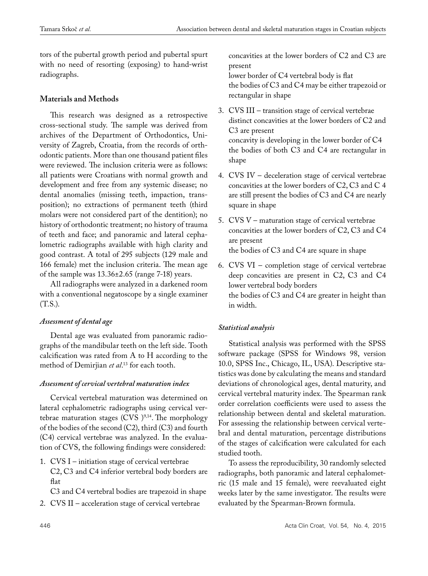tors of the pubertal growth period and pubertal spurt with no need of resorting (exposing) to hand-wrist radiographs.

### **Materials and Methods**

This research was designed as a retrospective cross-sectional study. The sample was derived from archives of the Department of Orthodontics, University of Zagreb, Croatia, from the records of orthodontic patients. More than one thousand patient files were reviewed. The inclusion criteria were as follows: all patients were Croatians with normal growth and development and free from any systemic disease; no dental anomalies (missing teeth, impaction, transposition); no extractions of permanent teeth (third molars were not considered part of the dentition); no history of orthodontic treatment; no history of trauma of teeth and face; and panoramic and lateral cephalometric radiographs available with high clarity and good contrast. A total of 295 subjects (129 male and 166 female) met the inclusion criteria. The mean age of the sample was 13.36±2.65 (range 7-18) years.

All radiographs were analyzed in a darkened room with a conventional negatoscope by a single examiner (T.S.).

# *Assessment of dental age*

Dental age was evaluated from panoramic radiographs of the mandibular teeth on the left side. Tooth calcification was rated from A to H according to the method of Demirjian *et al*. 13 for each tooth.

# *Assessment of cervical vertebral maturation index*

Cervical vertebral maturation was determined on lateral cephalometric radiographs using cervical vertebrae maturation stages (CVS  $)^{9,14}$ . The morphology of the bodies of the second (C2), third (C3) and fourth (C4) cervical vertebrae was analyzed. In the evaluation of CVS, the following findings were considered:

1. CVS I – initiation stage of cervical vertebrae C2, C3 and C4 inferior vertebral body borders are flat

C3 and C4 vertebral bodies are trapezoid in shape

2. CVS II – acceleration stage of cervical vertebrae

concavities at the lower borders of C2 and C3 are present lower border of C4 vertebral body is flat

the bodies of C3 and C4 may be either trapezoid or rectangular in shape

- 3. CVS III transition stage of cervical vertebrae distinct concavities at the lower borders of C2 and C3 are present concavity is developing in the lower border of C4 the bodies of both C3 and C4 are rectangular in shape
- 4. CVS IV deceleration stage of cervical vertebrae concavities at the lower borders of C2, C3 and C 4 are still present the bodies of C3 and C4 are nearly square in shape
- 5. CVS V maturation stage of cervical vertebrae concavities at the lower borders of C2, C3 and C4 are present the bodies of C3 and C4 are square in shape
- 6. CVS VI completion stage of cervical vertebrae deep concavities are present in C2, C3 and C4 lower vertebral body borders the bodies of C3 and C4 are greater in height than in width.

# *Statistical analysis*

Statistical analysis was performed with the SPSS software package (SPSS for Windows 98, version 10.0, SPSS Inc., Chicago, IL, USA). Descriptive statistics was done by calculating the means and standard deviations of chronological ages, dental maturity, and cervical vertebral maturity index. The Spearman rank order correlation coefficients were used to assess the relationship between dental and skeletal maturation. For assessing the relationship between cervical vertebral and dental maturation, percentage distributions of the stages of calcification were calculated for each studied tooth.

To assess the reproducibility, 30 randomly selected radiographs, both panoramic and lateral cephalometric (15 male and 15 female), were reevaluated eight weeks later by the same investigator. The results were evaluated by the Spearman-Brown formula.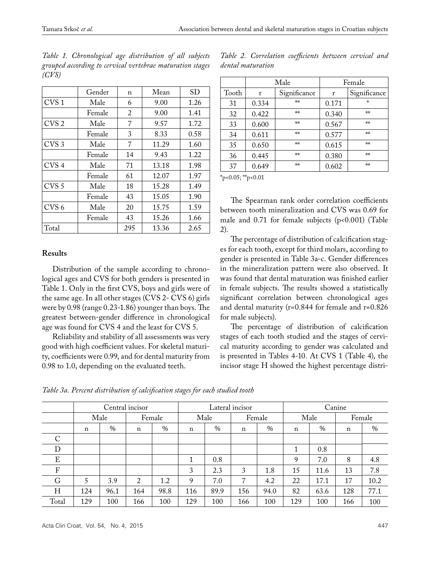|       |  |  | Table 1. Chronological age distribution of all subjects   |  |  |
|-------|--|--|-----------------------------------------------------------|--|--|
|       |  |  | grouped according to cervical vertebrae maturation stages |  |  |
| (CVS) |  |  |                                                           |  |  |

|                  | Gender | n   | Mean  | <b>SD</b> |
|------------------|--------|-----|-------|-----------|
| CVS <sub>1</sub> | Male   | 6   | 9.00  | 1.26      |
|                  | Female | 2   | 9.00  | 1.41      |
| CVS <sub>2</sub> | Male   | 7   | 9.57  | 1.72      |
|                  | Female | 3   | 8.33  | 0.58      |
| CVS <sub>3</sub> | Male   | 7   | 11.29 | 1.60      |
|                  | Female | 14  | 9.43  | 1.22      |
| CVS <sub>4</sub> | Male   | 71  | 13.18 | 1.98      |
|                  | Female | 61  | 12.07 | 1.97      |
| CVS <sub>5</sub> | Male   | 18  | 15.28 | 1.49      |
|                  | Female | 43  | 15.05 | 1.90      |
| CVS <sub>6</sub> | Male   | 20  | 15.75 | 1.59      |
|                  | Female | 43  | 15.26 | 1.66      |
| Total            |        | 295 | 13.36 | 2.65      |

**Results**

Distribution of the sample according to chronological ages and CVS for both genders is presented in Table 1. Only in the first CVS, boys and girls were of the same age. In all other stages (CVS 2- CVS 6) girls were by 0.98 (range 0.23-1.86) younger than boys. The greatest between-gender difference in chronological age was found for CVS 4 and the least for CVS 5.

Reliability and stability of all assessments was very good with high coefficient values. For skeletal maturity, coefficients were 0.99, and for dental maturity from 0.98 to 1.0, depending on the evaluated teeth.

Male Female Tooth r Significance r Significance 31 0.334 \*\* 0.171 \*  $\frac{32}{10.422}$   $\frac{10.340}{10.340}$   $\frac{10.340}{10.402}$  $\frac{33}{5}$  0.600  $\frac{1}{2}$  0.567  $\frac{1}{2}$  $\frac{34}{10.611}$  \*\* 0.577 \*\*  $\frac{35}{5}$  0.650  $\frac{1}{2}$  0.615  $\frac{1}{2}$  $\frac{36}{10.445}$  0.380  $\frac{1}{10.380}$ 37 0.649 \*\* 0.602 \*\*

*Table 2. Correlation coefficients between cervical and dental maturation*

 $*_{p<0.05;}$   $*_{p<0.01}$ 

The Spearman rank order correlation coefficients between tooth mineralization and CVS was 0.69 for male and  $0.71$  for female subjects ( $p<0.001$ ) (Table 2).

The percentage of distribution of calcification stages for each tooth, except for third molars, according to gender is presented in Table 3a-c. Gender differences in the mineralization pattern were also observed. It was found that dental maturation was finished earlier in female subjects. The results showed a statistically significant correlation between chronological ages and dental maturity (r=0.844 for female and r=0.826 for male subjects).

The percentage of distribution of calcification stages of each tooth studied and the stages of cervical maturity according to gender was calculated and is presented in Tables 4-10. At CVS 1 (Table 4), the incisor stage H showed the highest percentage distri-

*Table 3a. Percent distribution of calcification stages for each studied tooth*

|              |     |      | Central incisor |        |             |      | Lateral incisor |      | Canine      |      |             |      |  |
|--------------|-----|------|-----------------|--------|-------------|------|-----------------|------|-------------|------|-------------|------|--|
|              |     | Male |                 | Female | Male        |      | Female          |      | Male        |      | Female      |      |  |
|              | n   | $\%$ | $\mathbf n$     | $\%$   | $\mathbf n$ | $\%$ | n               | $\%$ | $\mathbf n$ | $\%$ | $\mathbf n$ | $\%$ |  |
| $\mathsf{C}$ |     |      |                 |        |             |      |                 |      |             |      |             |      |  |
| D            |     |      |                 |        |             |      |                 |      | 1           | 0.8  |             |      |  |
| E            |     |      |                 |        | 1           | 0.8  |                 |      | 9           | 7.0  | 8           | 4.8  |  |
| F            |     |      |                 |        | 3           | 2.3  | 3               | 1.8  | 15          | 11.6 | 13          | 7.8  |  |
| G            | 5   | 3.9  | 2               | 1.2    | 9           | 7.0  | 7               | 4.2  | 22          | 17.1 | 17          | 10.2 |  |
| Η            | 124 | 96.1 | 164             | 98.8   | 116         | 89.9 | 156             | 94.0 | 82          | 63.6 | 128         | 77.1 |  |
| Total        | 129 | 100  | 166             | 100    | 129         | 100  | 166             | 100  | 129         | 100  | 166         | 100  |  |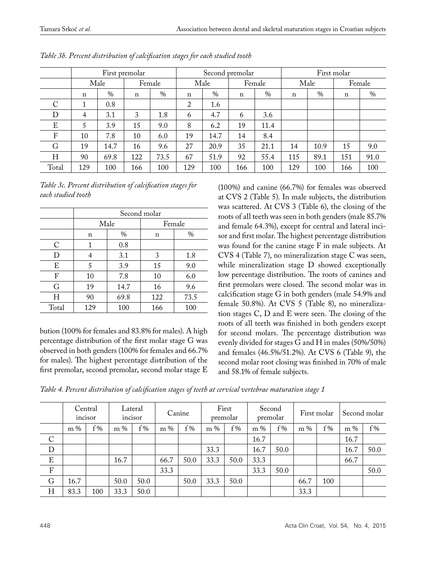|                  |             |               | First premolar |      |             |      | Second premolar |               | First molar |      |             |      |  |
|------------------|-------------|---------------|----------------|------|-------------|------|-----------------|---------------|-------------|------|-------------|------|--|
|                  |             | Male          | Female         |      | Male        |      | Female          |               | Male        |      | Female      |      |  |
|                  | $\mathbf n$ | $\frac{0}{0}$ | $\mathbf n$    | $\%$ | $\mathbf n$ | $\%$ | $\mathbf n$     | $\frac{0}{0}$ | $\mathbf n$ | $\%$ | $\mathbf n$ | $\%$ |  |
| C                | 1           | 0.8           |                |      | 2           | 1.6  |                 |               |             |      |             |      |  |
| D                | 4           | 3.1           | 3              | 1.8  | 6           | 4.7  | 6               | 3.6           |             |      |             |      |  |
| E                | 5           | 3.9           | 15             | 9.0  | 8           | 6.2  | 19              | 11.4          |             |      |             |      |  |
| $\boldsymbol{F}$ | 10          | 7.8           | 10             | 6.0  | 19          | 14.7 | 14              | 8.4           |             |      |             |      |  |
| G                | 19          | 14.7          | 16             | 9.6  | 27          | 20.9 | 35              | 21.1          | 14          | 10.9 | 15          | 9.0  |  |
| Η                | 90          | 69.8          | 122            | 73.5 | 67          | 51.9 | 92              | 55.4          | 115         | 89.1 | 151         | 91.0 |  |
| Total            | 129         | 100           | 166            | 100  | 129         | 100  | 166             | 100           | 129         | 100  | 166         | 100  |  |

| Table 3b. Percent distribution of calcification stages for each studied tooth |  |  |  |
|-------------------------------------------------------------------------------|--|--|--|
|-------------------------------------------------------------------------------|--|--|--|

*Table 3c. Percent distribution of calcification stages for each studied tooth*

|       |     | Second molar |     |        |  |  |  |  |  |  |  |
|-------|-----|--------------|-----|--------|--|--|--|--|--|--|--|
|       |     | Male         |     | Female |  |  |  |  |  |  |  |
|       | n   | $\%$         | n   | $\%$   |  |  |  |  |  |  |  |
| C     | 1   | 0.8          |     |        |  |  |  |  |  |  |  |
| D     | 4   | 3.1          | 3   | 1.8    |  |  |  |  |  |  |  |
| E     | 5   | 3.9          | 15  | 9.0    |  |  |  |  |  |  |  |
| F     | 10  | 7.8          | 10  | 6.0    |  |  |  |  |  |  |  |
| G     | 19  | 14.7         | 16  | 9.6    |  |  |  |  |  |  |  |
| Η     | 90  | 69.8         | 122 | 73.5   |  |  |  |  |  |  |  |
| Total | 129 | 100          | 166 | 100    |  |  |  |  |  |  |  |

bution (100% for females and 83.8% for males). A high percentage distribution of the first molar stage G was observed in both genders (100% for females and 66.7% for males). The highest percentage distribution of the first premolar, second premolar, second molar stage E

(100%) and canine (66.7%) for females was observed at CVS 2 (Table 5). In male subjects, the distribution was scattered. At CVS 3 (Table 6), the closing of the roots of all teeth was seen in both genders (male 85.7% and female 64.3%), except for central and lateral incisor and first molar. The highest percentage distribution was found for the canine stage F in male subjects. At CVS 4 (Table 7), no mineralization stage C was seen, while mineralization stage D showed exceptionally low percentage distribution. The roots of canines and first premolars were closed. The second molar was in calcification stage G in both genders (male 54.9% and female 50.8%). At CVS 5 (Table 8), no mineralization stages C, D and E were seen. The closing of the roots of all teeth was finished in both genders except for second molars. The percentage distribution was evenly divided for stages G and H in males (50%/50%) and females (46.5%/51.2%). At CVS 6 (Table 9), the second molar root closing was finished in 70% of male and 58.1% of female subjects.

*Table 4. Percent distribution of calcification stages of teeth at cervical vertebrae maturation stage 1*

|               |       | Central<br>incisor |       | Lateral<br>incisor |      | Canine |       | First<br>premolar |       | Second<br>premolar |       | First molar |       | Second molar |
|---------------|-------|--------------------|-------|--------------------|------|--------|-------|-------------------|-------|--------------------|-------|-------------|-------|--------------|
|               | $m\%$ | $f\%$              | $m\%$ | $f\%$              | m %  | $f\%$  | $m\%$ | $f\%$             | $m\%$ | $f\%$              | $m\%$ | $f\%$       | $m\%$ | $f\%$        |
| $\mathcal{C}$ |       |                    |       |                    |      |        |       |                   | 16.7  |                    |       |             | 16.7  |              |
| $\mathbf D$   |       |                    |       |                    |      |        | 33.3  |                   | 16.7  | 50.0               |       |             | 16.7  | 50.0         |
| ${\bf E}$     |       |                    | 16.7  |                    | 66.7 | 50.0   | 33.3  | 50.0              | 33.3  |                    |       |             | 66.7  |              |
| $\rm F$       |       |                    |       |                    | 33.3 |        |       |                   | 33.3  | 50.0               |       |             |       | 50.0         |
| G             | 16.7  |                    | 50.0  | 50.0               |      | 50.0   | 33.3  | 50.0              |       |                    | 66.7  | 100         |       |              |
| H             | 83.3  | 100                | 33.3  | 50.0               |      |        |       |                   |       |                    | 33.3  |             |       |              |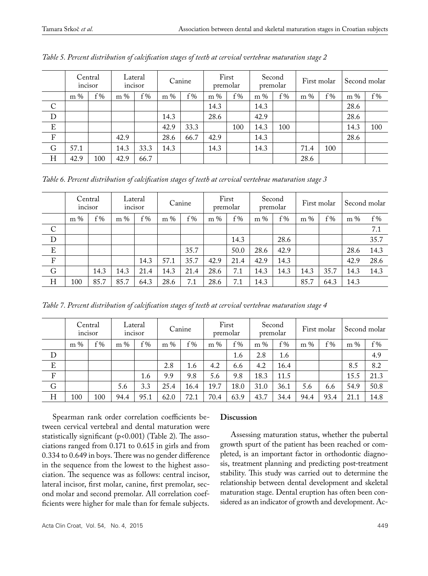|               | incisor | Central | Lateral<br>incisor |       | Canine |       | First<br>premolar |       | Second<br>premolar |       | First molar |       | Second molar |       |
|---------------|---------|---------|--------------------|-------|--------|-------|-------------------|-------|--------------------|-------|-------------|-------|--------------|-------|
|               | $m\%$   | $f\%$   | $m\%$              | $f\%$ | $m\%$  | $f\%$ | $m\%$             | $f\%$ | $m\%$              | $f\%$ | $m\%$       | $f\%$ | $m\%$        | $f\%$ |
| $\mathcal{C}$ |         |         |                    |       |        |       | 14.3              |       | 14.3               |       |             |       | 28.6         |       |
| $\mathbf D$   |         |         |                    |       | 14.3   |       | 28.6              |       | 42.9               |       |             |       | 28.6         |       |
| $\mathbf E$   |         |         |                    |       | 42.9   | 33.3  |                   | 100   | 14.3               | 100   |             |       | 14.3         | 100   |
| $\rm F$       |         |         | 42.9               |       | 28.6   | 66.7  | 42.9              |       | 14.3               |       |             |       | 28.6         |       |
| $\mathbf G$   | 57.1    |         | 14.3               | 33.3  | 14.3   |       | 14.3              |       | 14.3               |       | 71.4        | 100   |              |       |
| H             | 42.9    | 100     | 42.9               | 66.7  |        |       |                   |       |                    |       | 28.6        |       |              |       |

*Table 5. Percent distribution of calcification stages of teeth at cervical vertebrae maturation stage 2*

*Table 6. Percent distribution of calcification stages of teeth at cervical vertebrae maturation stage 3*

|                |       | Central<br>incisor |       | Lateral<br>incisor |       | Canine |       | First<br>premolar |       | Second<br>premolar |       | First molar |       | Second molar |  |
|----------------|-------|--------------------|-------|--------------------|-------|--------|-------|-------------------|-------|--------------------|-------|-------------|-------|--------------|--|
|                | $m\%$ | $f\%$              | $m\%$ | $f\%$              | $m\%$ | $f\%$  | $m\%$ | $f\%$             | $m\%$ | $f\%$              | $m\%$ | $f\%$       | $m\%$ | $f\%$        |  |
| $\overline{C}$ |       |                    |       |                    |       |        |       |                   |       |                    |       |             |       | 7.1          |  |
| $\overline{D}$ |       |                    |       |                    |       |        |       | 14.3              |       | 28.6               |       |             |       | 35.7         |  |
| $\mathbf E$    |       |                    |       |                    |       | 35.7   |       | 50.0              | 28.6  | 42.9               |       |             | 28.6  | 14.3         |  |
| $\mathbf F$    |       |                    |       | 14.3               | 57.1  | 35.7   | 42.9  | 21.4              | 42.9  | 14.3               |       |             | 42.9  | 28.6         |  |
| ${\rm G}$      |       | 14.3               | 14.3  | 21.4               | 14.3  | 21.4   | 28.6  | 7.1               | 14.3  | 14.3               | 14.3  | 35.7        | 14.3  | 14.3         |  |
| H              | 100   | 85.7               | 85.7  | 64.3               | 28.6  | 7.1    | 28.6  | 7.1               | 14.3  |                    | 85.7  | 64.3        | 14.3  |              |  |

*Table 7. Percent distribution of calcification stages of teeth at cervical vertebrae maturation stage 4*

|             | incisor | Central | Lateral<br>incisor |       | Canine |       | First<br>premolar |       | Second<br>premolar |       | First molar |      | Second molar |       |
|-------------|---------|---------|--------------------|-------|--------|-------|-------------------|-------|--------------------|-------|-------------|------|--------------|-------|
|             | $m\%$   | $f\%$   | $m\%$              | $f\%$ | $m\%$  | $f\%$ | m %               | $f\%$ | $m\%$              | $f\%$ | m %         | f%   | $m\%$        | $f\%$ |
| D           |         |         |                    |       |        |       |                   | 1.6   | 2.8                | 1.6   |             |      |              | 4.9   |
| ${\bf E}$   |         |         |                    |       | 2.8    | 1.6   | 4.2               | 6.6   | 4.2                | 16.4  |             |      | 8.5          | 8.2   |
| F           |         |         |                    | 1.6   | 9.9    | 9.8   | 5.6               | 9.8   | 18.3               | 11.5  |             |      | 15.5         | 21.3  |
| $\mathbf G$ |         |         | 5.6                | 3.3   | 25.4   | 16.4  | 19.7              | 18.0  | 31.0               | 36.1  | 5.6         | 6.6  | 54.9         | 50.8  |
| H           | 100     | 100     | 94.4               | 95.1  | 62.0   | 72.1  | 70.4              | 63.9  | 43.7               | 34.4  | 94.4        | 93.4 | 21.1         | 14.8  |

Spearman rank order correlation coefficients between cervical vertebral and dental maturation were statistically significant (p<0.001) (Table 2). The associations ranged from 0.171 to 0.615 in girls and from 0.334 to 0.649 in boys. There was no gender difference in the sequence from the lowest to the highest association. The sequence was as follows: central incisor, lateral incisor, first molar, canine, first premolar, second molar and second premolar. All correlation coefficients were higher for male than for female subjects.

### **Discussion**

Assessing maturation status, whether the pubertal growth spurt of the patient has been reached or completed, is an important factor in orthodontic diagnosis, treatment planning and predicting post-treatment stability. This study was carried out to determine the relationship between dental development and skeletal maturation stage. Dental eruption has often been considered as an indicator of growth and development. Ac-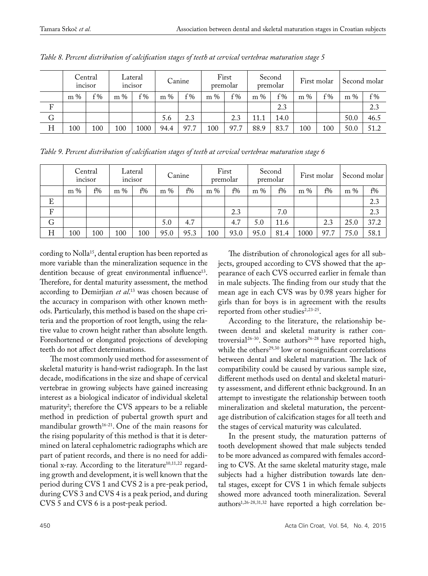|                           |       | Central<br>incisor | Lateral<br>incisor |      | Canine |       | First<br>premolar |       | Second<br>premolar |       | First molar |       | Second molar |       |
|---------------------------|-------|--------------------|--------------------|------|--------|-------|-------------------|-------|--------------------|-------|-------------|-------|--------------|-------|
|                           | $m\%$ | f%                 | m %                | f%   | $m\%$  | $f\%$ | $\%$<br>m         | $f\%$ | $m\%$              | $f\%$ | $m\%$       | $f\%$ | m %          | $f\%$ |
| $\boldsymbol{\mathrm{F}}$ |       |                    |                    |      |        |       |                   |       |                    | 2.3   |             |       |              | 2.3   |
| $\mathbf G$               |       |                    |                    |      | 5.6    | 2.3   |                   | 2.3   | 11.1               | 14.0  |             |       | 50.0         | 46.5  |
| H                         | 100   | 100                | 100                | 1000 | 94.4   | 97.7  | 100               | 97.7  | 88.9               | 83.7  | 100         | 100   | 50.0         | 51.2  |

*Table 8. Percent distribution of calcification stages of teeth at cervical vertebrae maturation stage 5*

|         | Central<br>incisor |     | Lateral<br>incisor |     | Canine |       | First<br>premolar |      | Second<br>premolar |      | First molar |      | Second molar |       |
|---------|--------------------|-----|--------------------|-----|--------|-------|-------------------|------|--------------------|------|-------------|------|--------------|-------|
|         | $m\%$              | f%  | $m\%$              | f%  | $m\%$  | $f\%$ | $m\%$             | f%   | $m\%$              | f%   | m %         | f%   | $m\%$        | $f\%$ |
| E       |                    |     |                    |     |        |       |                   |      |                    |      |             |      |              | 2.3   |
| $\rm F$ |                    |     |                    |     |        |       |                   | 2.3  |                    | 7.0  |             |      |              | 2.3   |
| G       |                    |     |                    |     | 5.0    | 4.7   |                   | 4.7  | 5.0                | 11.6 |             | 2.3  | 25.0         | 37.2  |
| H       | 100                | 100 | 100                | 100 | 95.0   | 95.3  | 100               | 93.0 | 95.0               | 81.4 | 1000        | 97.7 | 75.0         | 58.1  |

cording to Nolla<sup>15</sup>, dental eruption has been reported as more variable than the mineralization sequence in the dentition because of great environmental influence<sup>13</sup>. Therefore, for dental maturity assessment, the method according to Demirjian *et al*. 13 was chosen because of the accuracy in comparison with other known methods. Particularly, this method is based on the shape criteria and the proportion of root length, using the relative value to crown height rather than absolute length. Foreshortened or elongated projections of developing teeth do not affect determinations.

The most commonly used method for assessment of skeletal maturity is hand-wrist radiograph. In the last decade, modifications in the size and shape of cervical vertebrae in growing subjects have gained increasing interest as a biological indicator of individual skeletal maturity<sup>2</sup>; therefore the CVS appears to be a reliable method in prediction of pubertal growth spurt and mandibular growth $16-21$ . One of the main reasons for the rising popularity of this method is that it is determined on lateral cephalometric radiographs which are part of patient records, and there is no need for additional x-ray. According to the literature $10,11,22$  regarding growth and development, it is well known that the period during CVS 1 and CVS 2 is a pre-peak period, during CVS 3 and CVS 4 is a peak period, and during CVS 5 and CVS 6 is a post-peak period.

The distribution of chronological ages for all subjects, grouped according to CVS showed that the appearance of each CVS occurred earlier in female than in male subjects. The finding from our study that the mean age in each CVS was by 0.98 years higher for girls than for boys is in agreement with the results reported from other studies<sup>2,23-25</sup>.

According to the literature, the relationship between dental and skeletal maturity is rather controversial<sup>26-30</sup>. Some authors<sup>26-28</sup> have reported high, while the others<sup>29,30</sup> low or nonsignificant correlations between dental and skeletal maturation. The lack of compatibility could be caused by various sample size, different methods used on dental and skeletal maturity assessment, and different ethnic background. In an attempt to investigate the relationship between tooth mineralization and skeletal maturation, the percentage distribution of calcification stages for all teeth and the stages of cervical maturity was calculated.

In the present study, the maturation patterns of tooth development showed that male subjects tended to be more advanced as compared with females according to CVS. At the same skeletal maturity stage, male subjects had a higher distribution towards late dental stages, except for CVS 1 in which female subjects showed more advanced tooth mineralization. Several authors<sup>1,26-28,31,32</sup> have reported a high correlation be-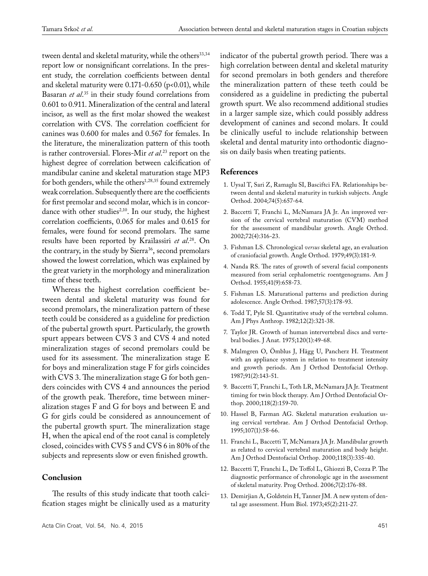tween dental and skeletal maturity, while the others<sup>33,34</sup> report low or nonsignificant correlations. In the present study, the correlation coefficients between dental and skeletal maturity were  $0.171$ -0.650 (p<0.01), while Basaran *et al*. 35 in their study found correlations from 0.601 to 0.911. Mineralization of the central and lateral incisor, as well as the first molar showed the weakest correlation with CVS. The correlation coefficient for canines was 0.600 for males and 0.567 for females. In the literature, the mineralization pattern of this tooth is rather controversial. Flores-Mir *et al*. 23 report on the highest degree of correlation between calcification of mandibular canine and skeletal maturation stage MP3 for both genders, while the others<sup>1,28,35</sup> found extremely weak correlation. Subsequently there are the coefficients for first premolar and second molar, which is in concordance with other studies<sup>2,10</sup>. In our study, the highest correlation coefficients, 0.065 for males and 0.615 for females, were found for second premolars. The same results have been reported by Krailassiri *et al*. 28. On the contrary, in the study by Sierra<sup>36</sup>, second premolars showed the lowest correlation, which was explained by the great variety in the morphology and mineralization time of these teeth.

Whereas the highest correlation coefficient between dental and skeletal maturity was found for second premolars, the mineralization pattern of these teeth could be considered as a guideline for prediction of the pubertal growth spurt. Particularly, the growth spurt appears between CVS 3 and CVS 4 and noted mineralization stages of second premolars could be used for its assessment. The mineralization stage E for boys and mineralization stage F for girls coincides with CVS 3. The mineralization stage G for both genders coincides with CVS 4 and announces the period of the growth peak. Therefore, time between mineralization stages F and G for boys and between E and G for girls could be considered as announcement of the pubertal growth spurt. The mineralization stage H, when the apical end of the root canal is completely closed, coincides with CVS 5 and CVS 6 in 80% of the subjects and represents slow or even finished growth.

### **Conclusion**

The results of this study indicate that tooth calcification stages might be clinically used as a maturity indicator of the pubertal growth period. There was a high correlation between dental and skeletal maturity for second premolars in both genders and therefore the mineralization pattern of these teeth could be considered as a guideline in predicting the pubertal growth spurt. We also recommend additional studies in a larger sample size, which could possibly address development of canines and second molars. It could be clinically useful to include relationship between skeletal and dental maturity into orthodontic diagnosis on daily basis when treating patients.

### **References**

- 1. Uysal T, Sari Z, Ramaglu SI, Basciftci FA. Relationships between dental and skeletal maturity in turkish subjects. Angle Orthod. 2004;74(5):657-64.
- 2. Baccetti T, Franchi L, McNamara JA Jr. An improved version of the cervical vertebral maturation (CVM) method for the assessment of mandibular growth. Angle Orthod. 2002;72(4):316-23.
- 3. Fishman LS. Chronological *versus* skeletal age, an evaluation of craniofacial growth. Angle Orthod. 1979;49(3):181-9.
- 4. Nanda RS. The rates of growth of several facial components measured from serial cephalometric roentgenograms. Am J Orthod. 1955;41(9):658-73.
- 5. Fishman LS. Maturational patterns and prediction during adolescence. Angle Orthod. 1987;57(3):178-93.
- 6. Todd T, Pyle SI. Quantitative study of the vertebral column. Am J Phys Anthrop. 1982;12(2):321-38.
- 7. Taylor JR. Growth of human intervertebral discs and vertebral bodies. J Anat. 1975;120(1):49-68.
- 8. Malmgren O, Ömblus J, Hägg U, Pancherz H. Treatment with an appliance system in relation to treatment intensity and growth periods. Am J Orthod Dentofacial Orthop. 1987;91(2):143-51.
- 9. Baccetti T, Franchi L, Toth LR, McNamara JA Jr. Treatment timing for twin block therapy. Am J Orthod Dentofacial Orthop. 2000;118(2):159-70.
- 10. Hassel B, Farman AG. Skeletal maturation evaluation using cervical vertebrae. Am J Orthod Dentofacial Orthop. 1995;107(1):58-66.
- 11. Franchi L, Baccetti T, McNamara JA Jr. Mandibular growth as related to cervical vertebral maturation and body height. Am J Orthod Dentofacial Orthop. 2000;118(3):335-40.
- 12. Baccetti T, Franchi L, De Toffol L, Ghiozzi B, Cozza P. The diagnostic performance of chronologic age in the assessment of skeletal maturity. Prog Orthod. 2006;7(2):176-88.
- 13. Demirjian A, Goldstein H, Tanner JM. A new system of dental age assessment. Hum Biol. 1973;45(2):211-27.